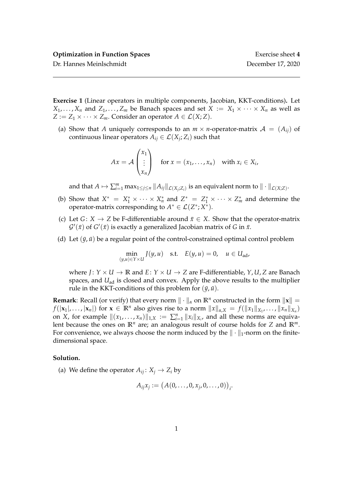**Exercise 1** (Linear operators in multiple components, Jacobian, KKT-conditions)**.** Let  $X_1, \ldots, X_n$  and  $Z_1, \ldots, Z_m$  be Banach spaces and set  $X := X_1 \times \cdots \times X_n$  as well as *Z* :=  $Z_1 \times \cdots \times Z_m$ . Consider an operator  $A \in \mathcal{L}(X; Z)$ .

(a) Show that *A* uniquely corresponds to an  $m \times n$ -operator-matrix  $A = (A_{ii})$  of continuous linear operators  $A_{ij} \in \mathcal{L}(X_j; Z_i)$  such that

$$
Ax = \mathcal{A} \begin{pmatrix} x_1 \\ \vdots \\ x_n \end{pmatrix} \quad \text{for } x = (x_1, \dots, x_n) \quad \text{with } x_i \in X_i,
$$

and that  $A \mapsto \sum_{i=1}^m \max_{1 \leq j \leq n} \|A_{ij}\|_{\mathcal{L}(X_j;Z_i)}$  is an equivalent norm to  $\| \cdot \|_{\mathcal{L}(X;Z)}$ .

- (b) Show that  $X^* = X_1^* \times \cdots \times X_n^*$  and  $Z_{\ldots}^* = Z_1^* \times \cdots \times Z_m^*$  and determine the operator-matrix corresponding to  $A^* \in \mathcal{L}(Z^*;X^*)$ .
- (c) Let *G* : *X*  $\rightarrow$  *Z* be F-differentiable around  $\bar{x} \in X$ . Show that the operator-matrix  $\mathcal{G}'(\bar{x})$  of  $G'(\bar{x})$  is exactly a generalized Jacobian matrix of *G* in  $\bar{x}$ .
- (d) Let  $(\bar{y}, \bar{u})$  be a regular point of the control-constrained optimal control problem

$$
\min_{(y,u)\in Y\times U} J(y,u) \quad \text{s.t.} \quad E(y,u) = 0, \quad u \in U_{\text{ad}},
$$

where  $J: Y \times U \rightarrow \mathbb{R}$  and  $E: Y \times U \rightarrow Z$  are F-differentiable,  $Y, U, Z$  are Banach spaces, and *U*<sub>ad</sub> is closed and convex. Apply the above results to the multiplier rule in the KKT-conditions of this problem for  $(\bar{y}, \bar{u})$ .

**Remark**: Recall (or verify) that every norm  $\|\cdot\|_{\alpha}$  on  $\mathbb{R}^n$  constructed in the form  $\|\mathbf{x}\| =$ *f*( $|\mathbf{x}_1|, \ldots, |\mathbf{x}_n|$ ) for  $\mathbf{x} \in \mathbb{R}^n$  also gives rise to a norm  $||x||_{\alpha,X} = f(||x_1||_{X_1}, \ldots, ||x_n||_{X_n})$ on *X*, for example  $\|(x_1, \ldots, x_n)\|_{1,X} := \sum_{i=1}^n \|x_i\|_{X_i}$ , and all these norms are equivalent because the ones on  $\mathbb{R}^n$  are; an analogous result of course holds for *Z* and  $\mathbb{R}^m$ . For convenience, we always choose the norm induced by the  $\|\cdot\|_1$ -norm on the finitedimensional space.

## **Solution.**

(a) We define the operator  $A_{ij}: X_j \to Z_i$  by

$$
A_{ij}x_j := (A(0, ..., 0, x_j, 0, ..., 0))_i.
$$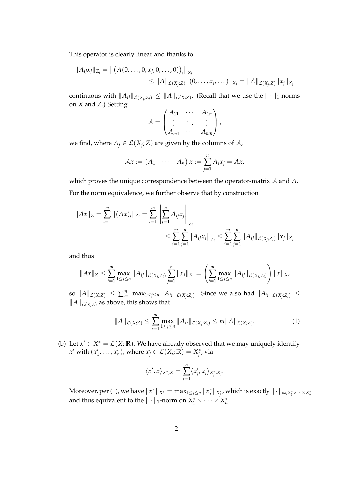This operator is clearly linear and thanks to

$$
||A_{ij}x_j||_{Z_i} = ||(A(0,\ldots,0,x_j,0,\ldots,0))_i||_{Z_i}
$$
  
\n
$$
\leq ||A||_{\mathcal{L}(X_j;Z)} ||(0,\ldots,x_j,\ldots)||_{X_j} = ||A||_{\mathcal{L}(X_j;Z)} ||x_j||_{X_j}
$$

continuous with  $\|A_{ij}\|_{\mathcal{L}(X_j;Z_i)} \leq \|A\|_{\mathcal{L}(X;Z)}.$  (Recall that we use the  $\|\cdot\|_1$ -norms on *X* and *Z*.) Setting

$$
\mathcal{A} = \begin{pmatrix} A_{11} & \cdots & A_{1n} \\ \vdots & \ddots & \vdots \\ A_{m1} & \cdots & A_{mn} \end{pmatrix},
$$

we find, where  $A_j \in \mathcal{L}(X_j; Z)$  are given by the columns of  $\mathcal{A}$ ,

$$
\mathcal{A}x := (A_1 \quad \cdots \quad A_n) x := \sum_{j=1}^n A_j x_j = Ax,
$$

which proves the unique correspondence between the operator-matrix A and *A*. For the norm equivalence, we further observe that by construction

$$
||Ax||_Z = \sum_{i=1}^m ||(Ax)_i||_{Z_i} = \sum_{i=1}^m \left\| \sum_{j=1}^n A_{ij} x_j \right\|_{Z_i}
$$
  

$$
\leq \sum_{i=1}^m \sum_{j=1}^n ||A_{ij} x_j||_{Z_i} \leq \sum_{i=1}^m \sum_{j=1}^n ||A_{ij}||_{\mathcal{L}(X_j;Z_i)} ||x_j||_{X_j}
$$

and thus

$$
||Ax||_Z \leq \sum_{i=1}^m \max_{1 \leq j \leq n} ||A_{ij}||_{\mathcal{L}(X_j;Z_i)} \sum_{j=1}^n ||x_j||_{X_j} = \left(\sum_{i=1}^m \max_{1 \leq j \leq n} ||A_{ij}||_{\mathcal{L}(X_j;Z_i)}\right) ||x||_X,
$$

 $\|A\|_{\mathcal{L}(X;Z)} \leq \sum_{i=1}^m \max_{1 \leq j \leq n} \|A_{ij}\|_{\mathcal{L}(X_j;Z_i)}$ . Since we also had  $\|A_{ij}\|_{\mathcal{L}(X_j;Z_i)} \leq$  $||A||_{\mathcal{L}(X;Z)}$  as above, this shows that

$$
||A||_{\mathcal{L}(X;Z)} \leq \sum_{i=1}^{m} \max_{1 \leq j \leq n} ||A_{ij}||_{\mathcal{L}(X_j;Z_i)} \leq m||A||_{\mathcal{L}(X;Z)}.
$$
 (1)

(b) Let  $x' \in X^* = \mathcal{L}(X; \mathbb{R})$ . We have already observed that we may uniquely identify  $x'$  with  $(x'_1, \ldots, x'_n)$ , where  $x'_j \in \mathcal{L}(X_i; \mathbb{R}) = X^*_j$ , via

$$
\langle x', x \rangle_{X^*,X} = \sum_{j=1}^n \langle x'_j, x_j \rangle_{X^*_j, X_j}.
$$

 $\text{Moreover, per (1), we have } \|x^*\|_{X^*} = \max_{1\leq j\leq n}\|x^*_j\|_{X^*_j}$ , which is exactly  $\|\cdot\|_{\infty, X^*_1 \times \dots \times X^*_n}$ and thus equivalent to the  $\|\cdot\|_1$ -norm on  $X_1^* \times \cdots \times X_n^*$ .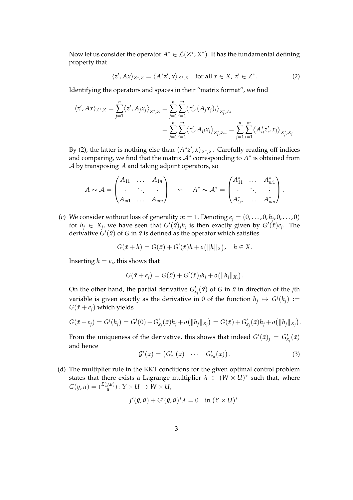Now let us consider the operator  $A^* \in \mathcal{L}(Z^*;X^*)$ . It has the fundamental defining property that

$$
\langle z', Ax \rangle_{Z^*,Z} = \langle A^* z', x \rangle_{X^*,X} \quad \text{for all } x \in X, \ z' \in Z^*.
$$
 (2)

Identifying the operators and spaces in their "matrix format", we find

$$
\langle z', Ax \rangle_{Z^*,Z} = \sum_{j=1}^n \langle z', A_j x_j \rangle_{Z^*,Z} = \sum_{j=1}^n \sum_{i=1}^m \langle z'_i, (A_j x_j)_i \rangle_{Z_i^*,Z_i}
$$
  
= 
$$
\sum_{j=1}^n \sum_{i=1}^m \langle z'_i, A_{ij} x_j \rangle_{Z_i^*,Z:i} = \sum_{j=1}^n \sum_{i=1}^m \langle A_{ij}^* z'_i, x_j \rangle_{X_j^*,X_j}.
$$

By (2), the latter is nothing else than  $\langle A^*z', x \rangle_{X^*,X}$ . Carefully reading off indices and comparing, we find that the matrix  $\mathcal{A}^*$  corresponding to  $A^*$  is obtained from  $\mathcal A$  by transposing  $\mathcal A$  and taking adjoint operators, so

$$
A \sim \mathcal{A} = \begin{pmatrix} A_{11} & \dots & A_{1n} \\ \vdots & \ddots & \vdots \\ A_{m1} & \dots & A_{mn} \end{pmatrix} \quad \rightsquigarrow \quad A^* \sim \mathcal{A}^* = \begin{pmatrix} A_{11}^* & \dots & A_{m1}^* \\ \vdots & \ddots & \vdots \\ A_{1n}^* & \dots & A_{mn}^* \end{pmatrix}.
$$

(c) We consider without loss of generality  $m = 1$ . Denoting  $e_j = (0, \ldots, 0, h_j, 0, \ldots, 0)$ for  $h_j \in X_j$ , we have seen that  $G'(\bar{x})_j h_j$  is then exactly given by  $G'(\bar{x})e_j$ . The derivative  $G'(\bar{x})$  of *G* in  $\bar{x}$  is defined as the operator which satisfies

$$
G(\bar{x} + h) = G(\bar{x}) + G'(\bar{x})h + o(||h||_X), \quad h \in X.
$$

Inserting  $h = e_j$ , this shows that

$$
G(\bar{x}+e_j)=G(\bar{x})+G'(\bar{x})_jh_j+o(||h_j||_{X_j}).
$$

On the other hand, the partial derivative  $G'_{x_j}(\bar{x})$  of *G* in  $\bar{x}$  in direction of the *j*th variable is given exactly as the derivative in 0 of the function  $h_j \mapsto G^j(h_j) :=$  $G(\bar{x} + e_i)$  which yields

$$
G(\bar{x}+e_j)=G^j(h_j)=G^j(0)+G'_{x_j}(\bar{x})h_j+o(||h_j||_{X_j})=G(\bar{x})+G'_{x_j}(\bar{x})h_j+o(||h_j||_{X_j}).
$$

From the uniqueness of the derivative, this shows that indeed  $G'(\bar{x})_j = G'_{x_j}(\bar{x})$ and hence

$$
\mathcal{G}'(\bar{x}) = (G'_{x_1}(\bar{x}) \cdots G'_{x_n}(\bar{x})). \tag{3}
$$

(d) The multiplier rule in the KKT conditions for the given optimal control problem states that there exists a Lagrange multiplier  $\lambda \in (W \times U)^*$  such that, where  $G(y, u) = {E(y, u) \choose u}$  ${y,u \choose u}$ :  $Y \times U \rightarrow W \times U$ ,

$$
J'(\bar{y}, \bar{u}) + G'(\bar{y}, \bar{u})^* \bar{\lambda} = 0 \quad \text{in } (Y \times U)^*.
$$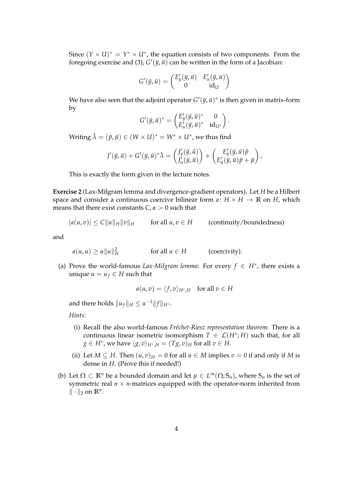Since  $(Y \times U)^* = Y^* \times U^*$ , the equation consists of two components. From the foregoing exercise and (3),  $G'(\bar{y}, \bar{u})$  can be written in the form of a Jacobian:

$$
G'(\bar{y}, \bar{u}) = \begin{pmatrix} E'_y(\bar{y}, \bar{u}) & E'_u(\bar{y}, \bar{u}) \\ 0 & \mathrm{id}_U \end{pmatrix}
$$

We have also seen that the adjoint operator  $G'(\bar{y}, \bar{u})^*$  is then given in matrix-form by

$$
G'(\bar{y}, \bar{u})^* = \begin{pmatrix} E'_y(\bar{y}, \bar{u})^* & 0 \\ E'_u(\bar{y}, \bar{u})^* & id_{U^*} \end{pmatrix}.
$$

Writing  $\bar{\lambda} = (\bar{p}, \bar{\mu}) \in (W \times U)^* = W^* \times U^*$ , we thus find

$$
J'(\bar{y}, \bar{u}) + G'(\bar{y}, \bar{u})^* \bar{\lambda} = \begin{pmatrix} J'_y(\bar{y}, \bar{u}) \\ J'_u(\bar{y}, \bar{u}) \end{pmatrix} + \begin{pmatrix} E'_y(\bar{y}, \bar{u}) \bar{p} \\ E'_u(\bar{y}, \bar{u}) \bar{p} + \bar{\mu} \end{pmatrix},
$$

This is exactly the form given in the lecture notes.

**Exercise 2** (Lax-Milgram lemma and divergence-gradient operators)**.** Let *H* be a Hilbert space and consider a continuous coercive bilinear form  $a: H \times H \rightarrow \mathbb{R}$  on *H*, which means that there exist constants *C*, *α* > 0 such that

$$
|a(u,v)| \le C||u||_H ||v||_H \qquad \text{for all } u,v \in H \qquad \text{(continuity/boundedness)}
$$

and

$$
a(u, u) \ge \alpha \|u\|_H^2
$$
 for all  $u \in H$  (coercivity).

(a) Prove the world-famous *Lax-Milgram lemma*: For every  $f \in H^*$ , there exists a unique  $u = u_f \in H$  such that

$$
a(u,v) = \langle f, v \rangle_{H^*,H} \quad \text{for all } v \in H
$$

and there holds  $||u_f||_H \leq \alpha^{-1} ||f||_{H^*}.$ 

*Hints*:

- (i) Recall the also world-famous *Fréchet-Riesz representation theorem*: There is a continuous linear isometric isomorphism  $T \in \mathcal{L}(H^*; H)$  such that, for all  $g \in H^*$ , we have  $\langle g, v \rangle_{H^*,H} = (Tg, v)_H$  for all  $v \in H$ .
- (ii) Let  $M \subseteq H$ . Then  $(u, v)_H = 0$  for all  $u \in M$  implies  $v = 0$  if and only if M is dense in *H*. (Prove this if needed!)
- (b) Let  $\Omega \subset \mathbb{R}^n$  be a bounded domain and let  $\mu \in L^\infty(\Omega; \mathbb{S}_n)$ , where  $\mathbb{S}_n$  is the set of symmetric real  $n \times n$ -matrices equipped with the operator-norm inherited from  $\|\cdot\|_2$  on  $\mathbb{R}^n$ .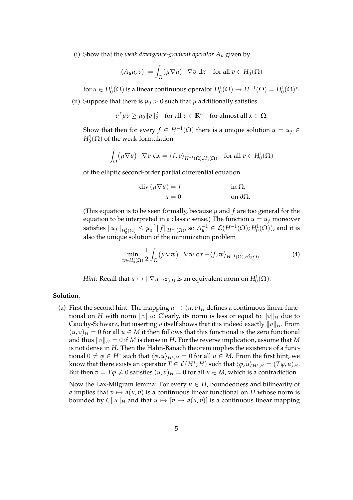(i) Show that the *weak divergence-gradient operator*  $A_{\mu}$  given by

$$
\langle A_{\mu}u, v \rangle := \int_{\Omega} (\mu \nabla u) \cdot \nabla v \, dx \quad \text{for all } v \in H_0^1(\Omega)
$$

for  $u \in H_0^1(\Omega)$  is a linear continuous operator  $H_0^1(\Omega) \to H^{-1}(\Omega) = H_0^1(\Omega)^*.$ 

(ii) Suppose that there is  $\mu_0 > 0$  such that  $\mu$  additionally satisfies

$$
v^T \mu v \ge \mu_0 ||v||_2^2 \quad \text{for all } v \in \mathbb{R}^n \quad \text{for almost all } x \in \Omega.
$$

Show that then for every  $f \in H^{-1}(\Omega)$  there is a unique solution  $u = u_f \in$  $H_0^1(\Omega)$  of the weak formulation

$$
\int_{\Omega} (\mu \nabla u) \cdot \nabla v \, dx = \langle f, v \rangle_{H^{-1}(\Omega), H_0^1(\Omega)} \quad \text{for all } v \in H_0^1(\Omega)
$$

of the elliptic second-order partial differential equation

$$
- \operatorname{div} (\mu \nabla u) = f \qquad \text{in } \Omega,
$$
  

$$
u = 0 \qquad \text{on } \partial \Omega.
$$

(This equation is to be seen formally, because  $\mu$  and  $f$  are too general for the equation to be interpreted in a classic sense.) The function  $u = u_f$  moreover satisfies  $\|u_f\|_{H_0^1(\Omega)} \leq \mu_0^{-1}\|f\|_{H^{-1}(\Omega)}$ , so  $A_\mu^{-1} \in \mathcal{L}(H^{-1}(\Omega); H_0^1(\Omega))$ , and it is also the unique solution of the minimization problem

$$
\min_{w \in H_0^1(\Omega)} \frac{1}{2} \int_{\Omega} (\mu \nabla w) \cdot \nabla w \, dx - \langle f, w \rangle_{H^{-1}(\Omega), H_0^1(\Omega)}.
$$
 (4)

*Hint*: Recall that  $u \mapsto \|\nabla u\|_{L^2(\Omega)}$  is an equivalent norm on  $H^1_0(\Omega).$ 

## **Solution.**

(a) First the second hint: The mapping  $u \mapsto (u, v)_H$  defines a continuous linear functional on *H* with norm  $||v||_H$ : Clearly, its norm is less or equal to  $||v||_H$  due to Cauchy-Schwarz, but inserting *v* itself shows that it is indeed exactly  $||v||_H$ . From  $(u, v)_H = 0$  for all  $u \in M$  it then follows that this functional is the zero functional and thus  $\|v\|_H = 0$  if *M* is dense in *H*. For the reverse implication, assume that *M* is not dense in *H*. Then the Hahn-Banach theorem implies the existence of a functional  $0 \neq \varphi \in H^*$  such that  $\langle \varphi, u \rangle_{H^*,H} = 0$  for all  $u \in \overline{M}$ . From the first hint, we know that there exists an operator  $T \in \mathcal{L}(H^*; H)$  such that  $\langle \varphi, u \rangle_{H^*, H} = (T \varphi, u)_H$ . But then  $v = T\varphi \neq 0$  satisfies  $(u, v)_H = 0$  for all  $u \in M$ , which is a contradiction.

Now the Lax-Milgram lemma: For every  $u \in H$ , boundedness and bilinearity of *a* implies that  $v \mapsto a(u, v)$  is a continuous linear functional on *H* whose norm is bounded by  $C||u||_H$  and that  $u \mapsto [v \mapsto a(u, v)]$  is a continuous linear mapping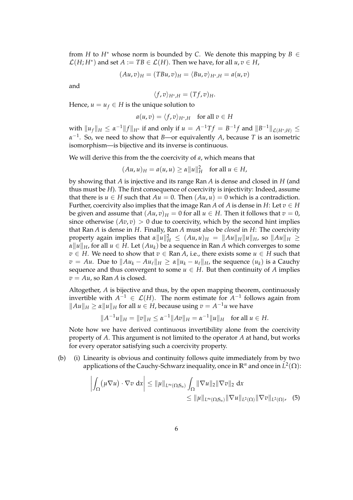from *H* to  $H^*$  whose norm is bounded by *C*. We denote this mapping by  $B \in$  $\mathcal{L}(H; H^*)$  and set  $A := TB \in \mathcal{L}(H)$ . Then we have, for all  $u, v \in H$ ,

$$
(Au,v)_H = (TBu,v)_H = \langle Bu,v \rangle_{H^*,H} = a(u,v)
$$

and

$$
\langle f, v \rangle_{H^*,H} = (Tf, v)_H.
$$

Hence,  $u = u_f \in H$  is the unique solution to

$$
a(u,v) = \langle f, v \rangle_{H^*,H} \quad \text{for all } v \in H
$$

with  $\|u_f\|_H \le \alpha^{-1} \|f\|_{H^*}$  if and only if  $u = A^{-1}Tf = B^{-1}f$  and  $\|B^{-1}\|_{\mathcal{L}(H^*;H)} \le$ *α* −1 . So, we need to show that *B*—or equivalently *A*, because *T* is an isometric isomorphism—is bijective and its inverse is continuous.

We will derive this from the the coercivity of *a*, which means that

$$
(Au, u)_H = a(u, u) \ge \alpha ||u||_H^2 \quad \text{for all } u \in H,
$$

by showing that *A* is injective and its range Ran *A* is dense and closed in *H* (and thus must be *H*). The first consequence of coercivity is injectivity: Indeed, assume that there is  $u \in H$  such that  $Au = 0$ . Then  $(Au, u) = 0$  which is a contradiction. Further, coercivity also implies that the image Ran *A* of *A* is dense in *H*: Let  $v \in H$ be given and assume that  $(Au, v)$ <sub>*H*</sub> = 0 for all  $u \in H$ . Then it follows that  $v = 0$ , since otherwise  $(Av, v) > 0$  due to coercivity, which by the second hint implies that Ran *A* is dense in *H*. Finally, Ran *A* must also be *closed* in *H*: The coercivity property again implies that  $\alpha \|u\|_H^2 \leq (Au, u)_H = \|Au\|_H \|u\|_H$ , so  $\|Au\|_H \geq$  $\alpha \|u\|_H$ , for all  $u \in H$ . Let  $(Au_k)$  be a sequence in Ran *A* which converges to some *v* ∈ *H*. We need to show that *v* ∈ Ran *A*, i.e., there exists some *u* ∈ *H* such that *v* = *Au*. Due to  $||Au_k - Au_\ell||_H \ge \alpha ||u_k - u_\ell||_H$ , the sequence  $(u_k)$  is a Cauchy sequence and thus convergent to some  $u \in H$ . But then continuity of *A* implies  $v = Au$ , so Ran *A* is closed.

Altogether, *A* is bijective and thus, by the open mapping theorem, continuously invertible with  $A^{-1}$  ∈  $\mathcal{L}(H)$ . The norm estimate for  $A^{-1}$  follows again from  $||Au||_H$  ≥  $\alpha$   $||u||_H$  for all  $u \in H$ , because using  $v = A^{-1}u$  we have

$$
||A^{-1}u||_H = ||v||_H \le \alpha^{-1}||Av||_H = \alpha^{-1}||u||_H \text{ for all } u \in H.
$$

Note how we have derived continuous invertibility alone from the coercivity property of *A*. This argument is not limited to the operator *A* at hand, but works for every operator satisfying such a coercivity property.

(b) (i) Linearity is obvious and continuity follows quite immediately from by two applications of the Cauchy-Schwarz inequality, once in **R***<sup>n</sup>* and once in *L* 2 (Ω):

$$
\left| \int_{\Omega} (\mu \nabla u) \cdot \nabla v \, dx \right| \leq \|\mu\|_{L^{\infty}(\Omega; S_n)} \int_{\Omega} \|\nabla u\|_{2} \|\nabla v\|_{2} \, dx
$$
  

$$
\leq \|\mu\|_{L^{\infty}(\Omega; S_n)} \|\nabla u\|_{L^{2}(\Omega)} \|\nabla v\|_{L^{2}(\Omega)}, \quad (5)
$$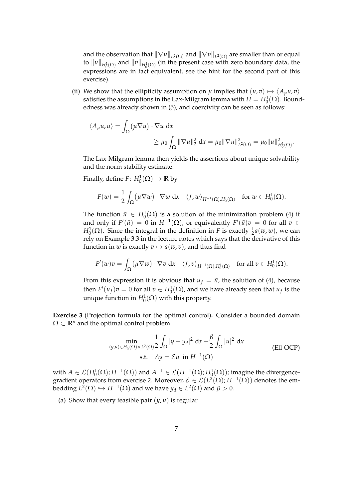and the observation that  $\|\nabla u\|_{L^2(\Omega)}$  and  $\|\nabla v\|_{L^2(\Omega)}$  are smaller than or equal to  $\|u\|_{H^1_0(\Omega)}$  and  $\|v\|_{H^1_0(\Omega)}$  (in the present case with zero boundary data, the expressions are in fact equivalent, see the hint for the second part of this exercise).

(ii) We show that the ellipticity assumption on  $\mu$  implies that  $(u, v) \mapsto \langle A_u u, v \rangle$ satisfies the assumptions in the Lax-Milgram lemma with  $H=H_0^1(\Omega).$  Boundedness was already shown in (5), and coercivity can be seen as follows:

$$
\langle A_{\mu}u, u \rangle = \int_{\Omega} (\mu \nabla u) \cdot \nabla u \, dx
$$
  

$$
\geq \mu_0 \int_{\Omega} \|\nabla u\|_2^2 \, dx = \mu_0 \|\nabla u\|_{L^2(\Omega)}^2 = \mu_0 \|u\|_{H_0^1(\Omega)}^2.
$$

The Lax-Milgram lemma then yields the assertions about unique solvability and the norm stability estimate.

Finally, define  $F: H_0^1(\Omega) \to \mathbb{R}$  by

$$
F(w)=\frac{1}{2}\int_{\Omega} \bigl(\mu \nabla w\bigr) \cdot \nabla w \,\, \mathrm{d} x-\langle f,w\rangle_{H^{-1}(\Omega),H^1_0(\Omega)} \quad \text{for } w \in H^1_0(\Omega).
$$

The function  $\bar{u} \in H_0^1(\Omega)$  is a solution of the minimization problem (4) if and only if  $F'(\bar{u}) = 0$  in  $H^{-1}(\Omega)$ , or equivalently  $F'(\bar{u})v = 0$  for all  $v \in$ *H*<sup>1</sup><sub>0</sub>( $\Omega$ ). Since the integral in the definition in *F* is exactly  $\frac{1}{2}a(w,w)$ , we can rely on Example 3.3 in the lecture notes which says that the derivative of this function in *w* is exactly  $v \mapsto a(w, v)$ , and thus find

$$
F'(w)v=\int_{\Omega} \bigl(\mu \nabla w\bigr) \cdot \nabla v \,\, \mathrm{d} x-\langle f,v\rangle_{H^{-1}(\Omega),H^1_0(\Omega)} \quad \text{for all } v \in H^1_0(\Omega).
$$

From this expression it is obvious that  $u_f = \bar{u}$ , the solution of (4), because then  $F'(u_f)v = 0$  for all  $v \in H_0^1(\Omega)$ , and we have already seen that  $u_f$  is the unique function in  $H_0^1(\Omega)$  with this property.

**Exercise 3** (Projection formula for the optimal control)**.** Consider a bounded domain  $\Omega \subset \mathbb{R}^n$  and the optimal control problem

$$
\min_{(y,u)\in H_0^1(\Omega)\times L^2(\Omega)} \frac{1}{2} \int_{\Omega} |y - y_d|^2 dx + \frac{\beta}{2} \int_{\Omega} |u|^2 dx
$$
\n(EII-OCP)\n  
\ns.t.  $Ay = \mathcal{E}u$  in  $H^{-1}(\Omega)$ 

with  $A \in \mathcal{L}(H_0^1(\Omega); H^{-1}(\Omega))$  and  $A^{-1} \in \mathcal{L}(H^{-1}(\Omega); H_0^1(\Omega))$ ; imagine the divergencegradient operators from exercise 2. Moreover,  $\mathcal{E} \in \mathcal{L}(L^2(\Omega); H^{-1}(\Omega))$  denotes the embedding  $L^2(\Omega) \hookrightarrow H^{-1}(\Omega)$  and we have  $y_d \in L^2(\Omega)$  and  $\beta > 0$ .

(a) Show that every feasible pair  $(y, u)$  is regular.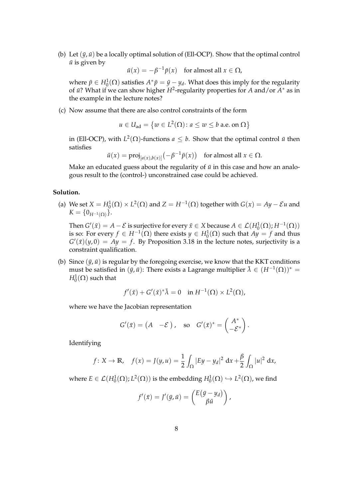(b) Let  $(\bar{y}, \bar{u})$  be a locally optimal solution of (Ell-OCP). Show that the optimal control  $\bar{u}$  is given by

 $\bar{u}(x) = -\beta^{-1}\bar{p}(x)$  for almost all  $x \in \Omega$ ,

where  $\bar{p} \in H_0^1(\Omega)$  satisfies  $A^*\bar{p} = \bar{y} - y_d$ . What does this imply for the regularity of  $\bar{u}$ ? What if we can show higher *H*<sup>2</sup>-regularity properties for *A* and/or *A*<sup>∗</sup> as in the example in the lecture notes?

(c) Now assume that there are also control constraints of the form

$$
u \in U_{ad} = \{w \in L^2(\Omega) \colon a \le w \le b \text{ a.e. on } \Omega\}
$$

in (Ell-OCP), with  $L^2(\Omega)$ -functions  $a \leq b$ . Show that the optimal control  $\bar{u}$  then satisfies

$$
\bar{u}(x) = \text{proj}_{[a(x),b(x)]}(-\beta^{-1}\bar{p}(x)) \text{ for almost all } x \in \Omega.
$$

Make an educated guess about the regularity of  $\bar{u}$  in this case and how an analogous result to the (control-) unconstrained case could be achieved.

## **Solution.**

(a) We set  $X = H_0^1(\Omega) \times L^2(\Omega)$  and  $Z = H^{-1}(\Omega)$  together with  $G(x) = Ay - \mathcal{E}u$  and  $K = \{0_{H^{-1}(\Omega)}\}.$ 

Then  $G'(\bar{x}) = A - \mathcal{E}$  is surjective for every  $\bar{x} \in X$  because  $A \in \mathcal{L}(H_0^1(\Omega); H^{-1}(\Omega))$ is so: For every  $f \in H^{-1}(\Omega)$  there exists  $y \in H_0^1(\Omega)$  such that  $Ay = f$  and thus  $G'(\bar{x})(y,0) = Ay = f$ . By Proposition 3.18 in the lecture notes, surjectivity is a constraint qualification.

(b) Since  $(\bar{y}, \bar{u})$  is regular by the foregoing exercise, we know that the KKT conditions must be satisfied in  $(\bar{y}, \bar{u})$ : There exists a Lagrange multiplier  $\bar{\lambda} \in (H^{-1}(\Omega))^*$  =  $H_0^1(\Omega)$  such that

$$
f'(\bar{x}) + G'(\bar{x})^* \bar{\lambda} = 0 \quad \text{in } H^{-1}(\Omega) \times L^2(\Omega),
$$

where we have the Jacobian representation

$$
G'(\bar{x}) = (A - \mathcal{E}), \text{ so } G'(\bar{x})^* = \begin{pmatrix} A^* \\ -\mathcal{E}^* \end{pmatrix}.
$$

Identifying

$$
f: X \to \mathbb{R}
$$
,  $f(x) = J(y, u) = \frac{1}{2} \int_{\Omega} |Ey - y_d|^2 dx + \frac{\beta}{2} \int_{\Omega} |u|^2 dx$ ,

where  $E \in \mathcal{L}(H_0^1(\Omega); L^2(\Omega))$  is the embedding  $H_0^1(\Omega) \hookrightarrow L^2(\Omega)$ , we find

$$
f'(\bar{x}) = J'(\bar{y}, \bar{u}) = \begin{pmatrix} E(\bar{y} - y_d) \\ \beta \bar{u} \end{pmatrix},
$$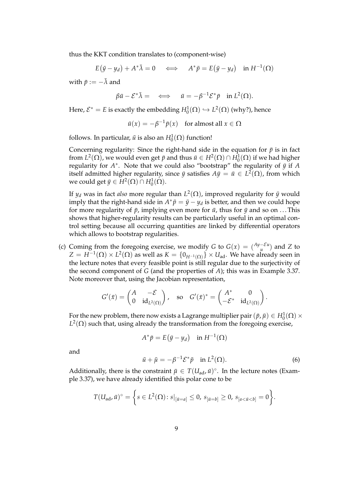thus the KKT condition translates to (component-wise)

$$
E(\bar{y}-y_d) + A^*\bar{\lambda} = 0 \iff A^*\bar{p} = E(\bar{y}-y_d) \text{ in } H^{-1}(\Omega)
$$

with  $\bar{p} := -\bar{\lambda}$  and

$$
\beta \bar{u} - \mathcal{E}^* \bar{\lambda} = \iff \bar{u} = -\beta^{-1} \mathcal{E}^* \bar{p} \quad \text{in } L^2(\Omega).
$$

Here,  $\mathcal{E}^* = E$  is exactly the embedding  $H_0^1(\Omega) \hookrightarrow L^2(\Omega)$  (why?), hence

 $\bar{u}(x) = -\beta^{-1}\bar{p}(x)$  for almost all  $x \in \Omega$ 

follows. In particular,  $\bar{u}$  is also an  $H_0^1(\Omega)$  function!

Concerning regularity: Since the right-hand side in the equation for  $\bar{p}$  is in fact from  $L^2(\Omega)$ , we would even get  $\bar{p}$  and thus  $\bar{u} \in H^2(\Omega) \cap H^1_0(\Omega)$  if we had higher regularity for  $A^*$ . Note that we could also "bootstrap" the regularity of  $\bar{y}$  if  $A$ itself admitted higher regularity, since  $\bar{y}$  satisfies  $A\bar{y} = \bar{u} \in L^2(\Omega)$ , from which we could get  $\bar{y} \in H^2(\Omega) \cap H_0^1(\Omega)$ .

If  $y_d$  was in fact *also* more regular than  $L^2(\Omega)$ , improved regularity for  $\bar{y}$  would imply that the right-hand side in  $A^*\bar{p} = \bar{y} - y_d$  is better, and then we could hope for more regularity of  $\bar{p}$ , implying even more for  $\bar{u}$ , thus for  $\bar{y}$  and so on ... This shows that higher-regularity results can be particularly useful in an optimal control setting because all occurring quantities are linked by differential operators which allows to bootstrap regularities.

(c) Coming from the foregoing exercise, we modify *G* to  $G(x) = {Ay - Eu \over b}$  $\binom{-\mathcal{E}u}{\mu}$  and *Z* to  $Z = H^{-1}(\Omega) \times L^2(\Omega)$  as well as  $K = \{0_{H^{-1}(\Omega)}\} \times U_{ad}$ . We have already seen in the lecture notes that every feasible point is still regular due to the surjectivity of the second component of *G* (and the properties of *A*); this was in Example 3.37. Note moreover that, using the Jacobian representation,

$$
G'(\bar x)=\begin{pmatrix}A&-\mathcal E\\ 0&\mathrm{id}_{L^2(\Omega)}\end{pmatrix},\quad\text{so}\quad G'(\bar x)^*=\begin{pmatrix}A^*&0\\ -\mathcal E^*&\mathrm{id}_{L^2(\Omega)}\end{pmatrix}.
$$

For the new problem, there now exists a Lagrange multiplier pair  $(\bar{p}, \bar{\mu}) \in H_0^1(\Omega) \times$  $L^2(\Omega)$  such that, using already the transformation from the foregoing exercise,

$$
A^*\bar{p} = E(\bar{y} - y_d) \quad \text{in } H^{-1}(\Omega)
$$

and

$$
\bar{u} + \bar{\mu} = -\beta^{-1} \mathcal{E}^* \bar{p} \quad \text{in } L^2(\Omega). \tag{6}
$$

Additionally, there is the constraint  $\bar{\mu} \in T(U_{ad}, \bar{u})^{\circ}$ . In the lecture notes (Example 3.37), we have already identified this polar cone to be

$$
T(U_{\text{ad}} , \bar{u})^{\circ} = \left\{ s \in L^2(\Omega) \colon s|_{[\bar{u} = a]} \leq 0, \, s_{[\bar{u} = b]} \geq 0, \, s_{[a < \bar{u} < b]} = 0 \right\}.
$$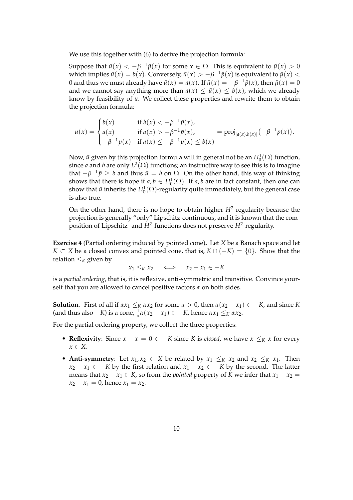We use this together with (6) to derive the projection formula:

Suppose that  $\bar{u}(x) < -\beta^{-1} \bar{p}(x)$  for some  $x \in \Omega$ . This is equivalent to  $\bar{\mu}(x) > 0$ which implies  $\bar{u}(x) = b(x)$ . Conversely,  $\bar{u}(x) > -\beta^{-1}\bar{p}(x)$  is equivalent to  $\bar{\mu}(x) <$ 0 and thus we must already have  $\bar{u}(x) = a(x)$ . If  $\bar{u}(x) = -\beta^{-1} \bar{p}(x)$ , then  $\bar{\mu}(x) = 0$ and we cannot say anything more than  $a(x) \leq \bar{u}(x) \leq b(x)$ , which we already know by feasibility of  $\bar{u}$ . We collect these properties and rewrite them to obtain the projection formula:

$$
\bar{u}(x) = \begin{cases} b(x) & \text{if } b(x) < -\beta^{-1} \bar{p}(x), \\ a(x) & \text{if } a(x) > -\beta^{-1} \bar{p}(x), \\ -\beta^{-1} \bar{p}(x) & \text{if } a(x) \le -\beta^{-1} \bar{p}(x) \le b(x) \end{cases} = \text{proj}_{[a(x),b(x)]}(-\beta^{-1} \bar{p}(x)).
$$

Now,  $\bar{u}$  given by this projection formula will in general not be an  $H^1_0(\Omega)$  function, since *a* and *b* are only  $L^2(\Omega)$  functions; an instructive way to see this is to imagine that  $-\beta^{-1}\bar{p} \geq b$  and thus  $\bar{u} = b$  on  $\Omega$ . On the other hand, this way of thinking shows that there is hope if  $a, b \in H_0^1(\Omega)$ . If  $a, b$  are in fact constant, then one can show that  $\bar u$  inherits the  $H^1_0(\Omega)$ -regularity quite immediately, but the general case is also true.

On the other hand, there is no hope to obtain higher *H*<sup>2</sup>-regularity because the projection is generally "only" Lipschitz-continuous, and it is known that the composition of Lipschitz- and *H*<sup>2</sup>-functions does not preserve *H*<sup>2</sup>-regularity.

**Exercise 4** (Partial ordering induced by pointed cone)**.** Let *X* be a Banach space and let *K* ⊂ *X* be a closed convex and pointed cone, that is,  $K \cap (-K) = \{0\}$ . Show that the relation  $\leq_K$  given by

$$
x_1 \leq_K x_2 \quad \iff \quad x_2 - x_1 \in -K
$$

is a *partial ordering*, that is, it is reflexive, anti-symmetric and transitive. Convince yourself that you are allowed to cancel positive factors *α* on both sides.

**Solution.** First of all if  $\alpha x_1 \leq_K \alpha x_2$  for some  $\alpha > 0$ , then  $\alpha(x_2 - x_1) \in -K$ , and since *K* (and thus also  $-K$ ) is a cone,  $\frac{1}{\alpha} \alpha (x_2 - x_1) \in -K$ , hence  $\alpha x_1 \leq_K \alpha x_2$ .

For the partial ordering property, we collect the three properties:

- **Reflexivity**: Since  $x x = 0 \in -K$  since *K* is *closed*, we have  $x \leq_K x$  for every *x* ∈ *X*.
- Anti-symmetry: Let  $x_1, x_2 \in X$  be related by  $x_1 \leq_K x_2$  and  $x_2 \leq_K x_1$ . Then *x*<sub>2</sub> − *x*<sub>1</sub> ∈ −*K* by the first relation and *x*<sub>1</sub> − *x*<sub>2</sub> ∈ −*K* by the second. The latter means that  $x_2 - x_1 \in K$ , so from the *pointed* property of *K* we infer that  $x_1 - x_2 =$  $x_2 - x_1 = 0$ , hence  $x_1 = x_2$ .